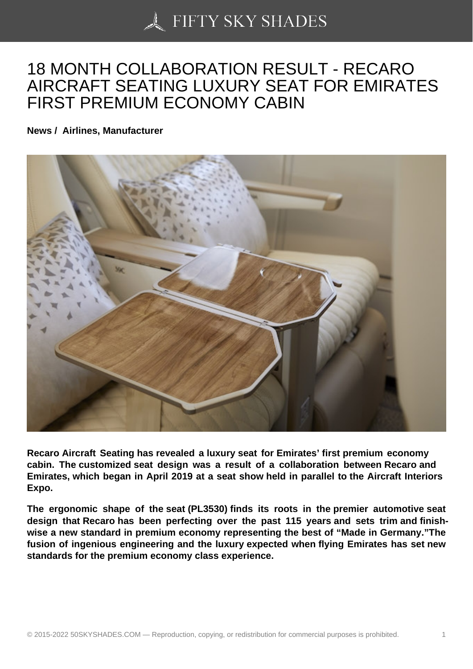## [18 MONTH COLLABO](https://50skyshades.com)RATION RESULT - RECARO AIRCRAFT SEATING LUXURY SEAT FOR EMIRATES FIRST PREMIUM ECONOMY CABIN

News / Airlines, Manufacturer

Recaro Aircraft Seating has revealed a luxury seat for Emirates ' first premium economy cabin. The customized seat design was a result of a collaboration between Recaro and Emirates , which began in April 2019 at a seat show held in parallel to the Aircraft Interiors Expo.

The ergonomic shape of the seat (PL3530) finds its roots in the premier automotive seat design that Recaro has been perfecting over the past 115 years and sets trim and finishwise a new standard in premium economy representing the best of "Made in Germany."The fusion of ingenious engineering and the luxury expected when flying Emirates has set new standards for the premium economy class experience.